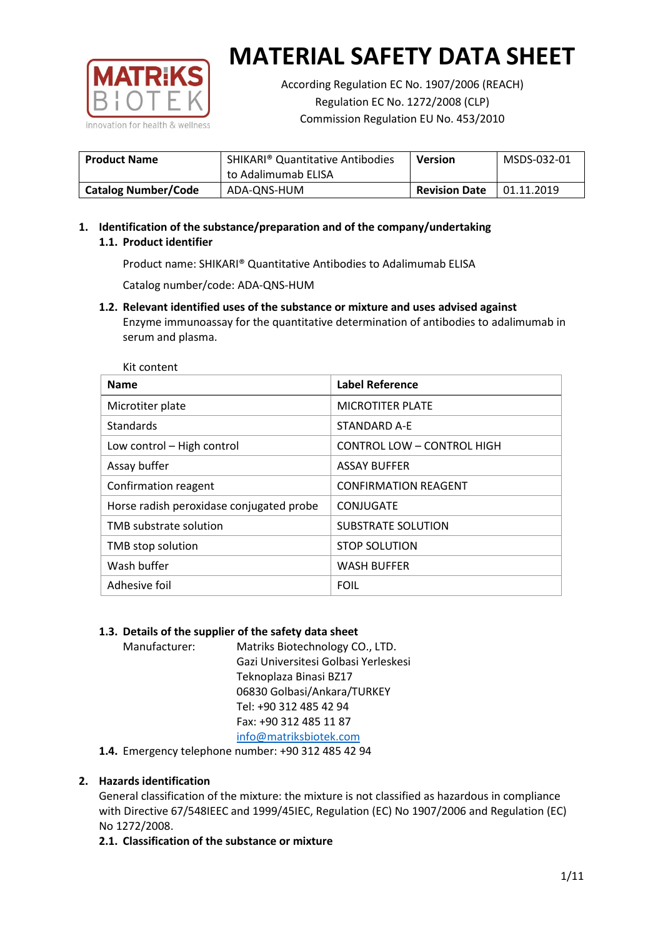

According Regulation EC No. 1907/2006 (REACH) Regulation EC No. 1272/2008 (CLP) Commission Regulation EU No. 453/2010

| <b>Product Name</b>        | <b>SHIKARI® Quantitative Antibodies</b><br>to Adalimumab ELISA | <b>Version</b>       | MSDS-032-01 |
|----------------------------|----------------------------------------------------------------|----------------------|-------------|
| <b>Catalog Number/Code</b> | ADA-QNS-HUM                                                    | <b>Revision Date</b> | 01.11.2019  |

# **1. Identification of the substance/preparation and of the company/undertaking 1.1. Product identifier**

Product name: SHIKARI® Quantitative Antibodies to Adalimumab ELISA

Catalog number/code: ADA-QNS-HUM

**1.2. Relevant identified uses of the substance or mixture and uses advised against** Enzyme immunoassay for the quantitative determination of antibodies to adalimumab in serum and plasma.

| <b>Name</b>                              | <b>Label Reference</b>      |
|------------------------------------------|-----------------------------|
| Microtiter plate                         | <b>MICROTITER PLATE</b>     |
| Standards                                | STANDARD A-F                |
| Low control - High control               | CONTROL LOW - CONTROL HIGH  |
| Assay buffer                             | <b>ASSAY BUFFER</b>         |
| Confirmation reagent                     | <b>CONFIRMATION REAGENT</b> |
| Horse radish peroxidase conjugated probe | CONJUGATE                   |
| TMB substrate solution                   | <b>SUBSTRATE SOLUTION</b>   |
| TMB stop solution                        | <b>STOP SOLUTION</b>        |
| Wash buffer                              | <b>WASH BUFFER</b>          |
| Adhesive foil                            | <b>FOIL</b>                 |

## **1.3. Details of the supplier of the safety data sheet**

Manufacturer: Matriks Biotechnology CO., LTD. Gazi Universitesi Golbasi Yerleskesi Teknoplaza Binasi BZ17 06830 Golbasi/Ankara/TURKEY Tel: +90 312 485 42 94 Fax: +90 312 485 11 87 [info@matriksbiotek.com](mailto:info@matriksbiotek.com)

**1.4.** Emergency telephone number: +90 312 485 42 94

# **2. Hazards identification**

General classification of the mixture: the mixture is not classified as hazardous in compliance with Directive 67/548IEEC and 1999/45IEC, Regulation (EC) No 1907/2006 and Regulation (EC) No 1272/2008.

## **2.1. Classification of the substance or mixture**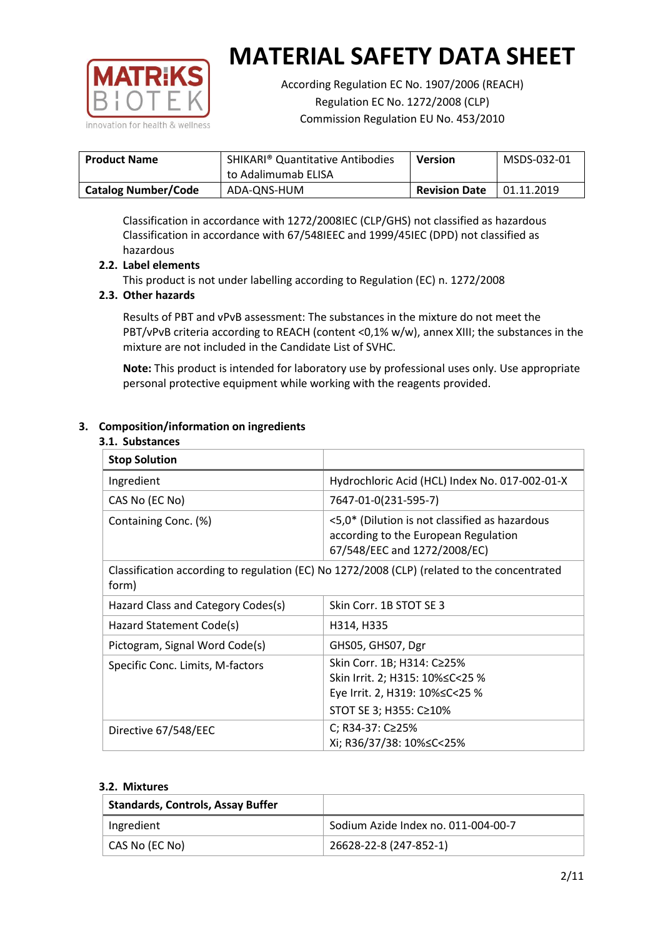

According Regulation EC No. 1907/2006 (REACH) Regulation EC No. 1272/2008 (CLP) Commission Regulation EU No. 453/2010

| <b>Product Name</b>        | <b>SHIKARI<sup>®</sup> Quantitative Antibodies</b><br>to Adalimumab ELISA | <b>Version</b>       | MSDS-032-01 |
|----------------------------|---------------------------------------------------------------------------|----------------------|-------------|
| <b>Catalog Number/Code</b> | ADA-QNS-HUM                                                               | <b>Revision Date</b> | 01.11.2019  |

Classification in accordance with 1272/2008IEC (CLP/GHS) not classified as hazardous Classification in accordance with 67/548IEEC and 1999/45IEC (DPD) not classified as hazardous

## **2.2. Label elements**

This product is not under labelling according to Regulation (EC) n. 1272/2008

## **2.3. Other hazards**

Results of PBT and vPvB assessment: The substances in the mixture do not meet the PBT/vPvB criteria according to REACH (content <0,1% w/w), annex XIII; the substances in the mixture are not included in the Candidate List of SVHC.

**Note:** This product is intended for laboratory use by professional uses only. Use appropriate personal protective equipment while working with the reagents provided.

## **3. Composition/information on ingredients**

#### **3.1. Substances**

| <b>Stop Solution</b>               |                                                                                                                               |
|------------------------------------|-------------------------------------------------------------------------------------------------------------------------------|
| Ingredient                         | Hydrochloric Acid (HCL) Index No. 017-002-01-X                                                                                |
| CAS No (EC No)                     | 7647-01-0(231-595-7)                                                                                                          |
| Containing Conc. (%)               | <5,0* (Dilution is not classified as hazardous<br>according to the European Regulation<br>67/548/EEC and 1272/2008/EC)        |
| form)                              | Classification according to regulation (EC) No 1272/2008 (CLP) (related to the concentrated                                   |
| Hazard Class and Category Codes(s) | Skin Corr. 1B STOT SE 3                                                                                                       |
| Hazard Statement Code(s)           | H314, H335                                                                                                                    |
| Pictogram, Signal Word Code(s)     | GHS05, GHS07, Dgr                                                                                                             |
| Specific Conc. Limits, M-factors   | Skin Corr. 1B; H314: C≥25%<br>Skin Irrit. 2; H315: 10% ≤ C < 25 %<br>Eye Irrit. 2, H319: 10%≤C<25 %<br>STOT SE 3; H355: C≥10% |
| Directive 67/548/EEC               | C; R34-37: C≥25%<br>Xi; R36/37/38: 10%≤C<25%                                                                                  |

#### **3.2. Mixtures**

| <b>Standards, Controls, Assay Buffer</b> |                                     |
|------------------------------------------|-------------------------------------|
| Ingredient                               | Sodium Azide Index no. 011-004-00-7 |
| CAS No (EC No)                           | 26628-22-8 (247-852-1)              |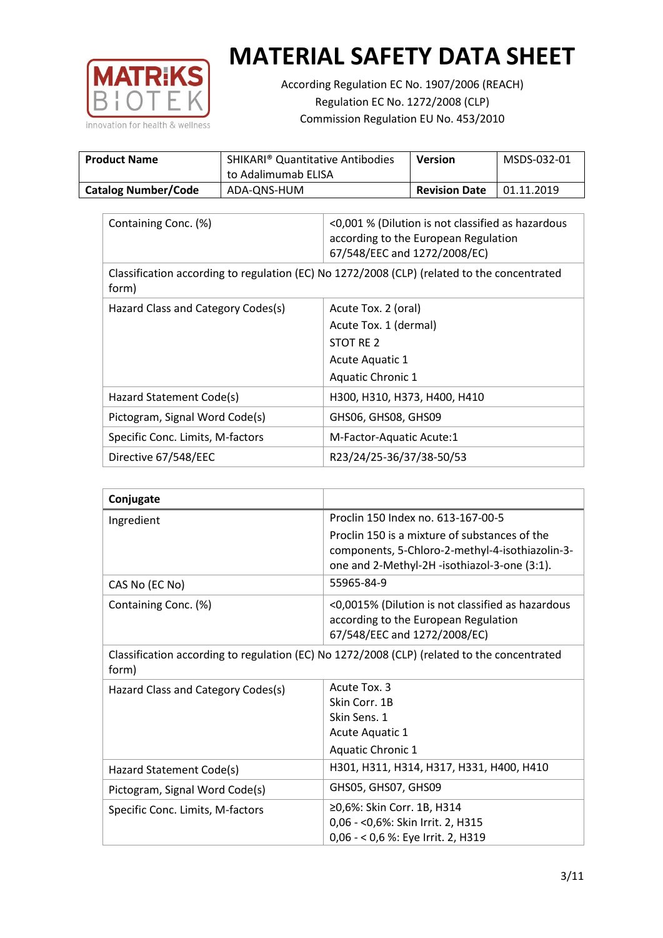

According Regulation EC No. 1907/2006 (REACH) Regulation EC No. 1272/2008 (CLP) Commission Regulation EU No. 453/2010

| <b>Product Name</b>        | <b>SHIKARI<sup>®</sup> Quantitative Antibodies</b><br>to Adalimumab ELISA | Version              | MSDS-032-01 |
|----------------------------|---------------------------------------------------------------------------|----------------------|-------------|
| <b>Catalog Number/Code</b> | ADA-QNS-HUM                                                               | <b>Revision Date</b> | 01.11.2019  |

| Containing Conc. (%)                                                                                 | <0,001 % (Dilution is not classified as hazardous<br>according to the European Regulation<br>67/548/EEC and 1272/2008/EC) |  |
|------------------------------------------------------------------------------------------------------|---------------------------------------------------------------------------------------------------------------------------|--|
| Classification according to regulation (EC) No 1272/2008 (CLP) (related to the concentrated<br>form) |                                                                                                                           |  |
| Hazard Class and Category Codes(s)                                                                   | Acute Tox. 2 (oral)                                                                                                       |  |
|                                                                                                      | Acute Tox. 1 (dermal)                                                                                                     |  |
|                                                                                                      | STOT RE 2                                                                                                                 |  |
|                                                                                                      | Acute Aquatic 1                                                                                                           |  |
|                                                                                                      | Aquatic Chronic 1                                                                                                         |  |
| Hazard Statement Code(s)                                                                             | H300, H310, H373, H400, H410                                                                                              |  |
| Pictogram, Signal Word Code(s)                                                                       | GHS06, GHS08, GHS09                                                                                                       |  |
| Specific Conc. Limits, M-factors                                                                     | M-Factor-Aquatic Acute:1                                                                                                  |  |
| Directive 67/548/EEC                                                                                 | R23/24/25-36/37/38-50/53                                                                                                  |  |

| Conjugate                          |                                                                                                                                                  |
|------------------------------------|--------------------------------------------------------------------------------------------------------------------------------------------------|
| Ingredient                         | Proclin 150 Index no. 613-167-00-5                                                                                                               |
|                                    | Proclin 150 is a mixture of substances of the<br>components, 5-Chloro-2-methyl-4-isothiazolin-3-<br>one and 2-Methyl-2H -isothiazol-3-one (3:1). |
| CAS No (EC No)                     | 55965-84-9                                                                                                                                       |
| Containing Conc. (%)               | <0,0015% (Dilution is not classified as hazardous<br>according to the European Regulation<br>67/548/EEC and 1272/2008/EC)                        |
| form)                              | Classification according to regulation (EC) No 1272/2008 (CLP) (related to the concentrated                                                      |
| Hazard Class and Category Codes(s) | Acute Tox. 3                                                                                                                                     |
|                                    | Skin Corr. 1B                                                                                                                                    |
|                                    | Skin Sens. 1                                                                                                                                     |
|                                    | <b>Acute Aquatic 1</b>                                                                                                                           |
|                                    | Aquatic Chronic 1                                                                                                                                |
| Hazard Statement Code(s)           | H301, H311, H314, H317, H331, H400, H410                                                                                                         |
| Pictogram, Signal Word Code(s)     | GHS05, GHS07, GHS09                                                                                                                              |
| Specific Conc. Limits, M-factors   | ≥0,6%: Skin Corr. 1B, H314<br>0,06 - < 0,6%: Skin Irrit. 2, H315<br>0,06 - < 0,6 %: Eye Irrit. 2, H319                                           |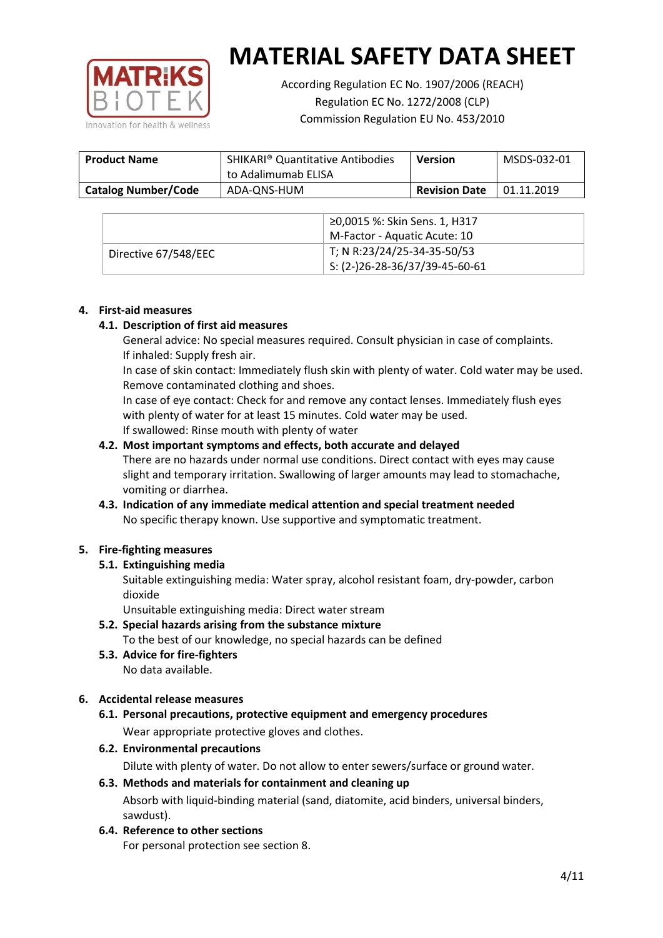

According Regulation EC No. 1907/2006 (REACH) Regulation EC No. 1272/2008 (CLP) Commission Regulation EU No. 453/2010

| <b>Product Name</b>        | <b>SHIKARI</b> <sup>®</sup> Quantitative Antibodies<br>to Adalimumab ELISA | <b>Version</b>       | MSDS-032-01 |
|----------------------------|----------------------------------------------------------------------------|----------------------|-------------|
| <b>Catalog Number/Code</b> | ADA-QNS-HUM                                                                | <b>Revision Date</b> | 01.11.2019  |

|                      | ≥0,0015 %: Skin Sens. 1, H317    |
|----------------------|----------------------------------|
|                      | M-Factor - Aquatic Acute: 10     |
| Directive 67/548/EEC | T; N R:23/24/25-34-35-50/53      |
|                      | $5: (2-)26-28-36/37/39-45-60-61$ |

## **4. First-aid measures**

## **4.1. Description of first aid measures**

General advice: No special measures required. Consult physician in case of complaints. If inhaled: Supply fresh air.

In case of skin contact: Immediately flush skin with plenty of water. Cold water may be used. Remove contaminated clothing and shoes.

In case of eye contact: Check for and remove any contact lenses. Immediately flush eyes with plenty of water for at least 15 minutes. Cold water may be used. If swallowed: Rinse mouth with plenty of water

## **4.2. Most important symptoms and effects, both accurate and delayed**

There are no hazards under normal use conditions. Direct contact with eyes may cause slight and temporary irritation. Swallowing of larger amounts may lead to stomachache, vomiting or diarrhea.

## **4.3. Indication of any immediate medical attention and special treatment needed** No specific therapy known. Use supportive and symptomatic treatment.

## **5. Fire-fighting measures**

## **5.1. Extinguishing media**

Suitable extinguishing media: Water spray, alcohol resistant foam, dry-powder, carbon dioxide

Unsuitable extinguishing media: Direct water stream

- **5.2. Special hazards arising from the substance mixture** To the best of our knowledge, no special hazards can be defined
- **5.3. Advice for fire-fighters** No data available.

## **6. Accidental release measures**

- **6.1. Personal precautions, protective equipment and emergency procedures** Wear appropriate protective gloves and clothes.
- **6.2. Environmental precautions**

Dilute with plenty of water. Do not allow to enter sewers/surface or ground water.

#### **6.3. Methods and materials for containment and cleaning up**

Absorb with liquid-binding material (sand, diatomite, acid binders, universal binders, sawdust).

**6.4. Reference to other sections**

For personal protection see section 8.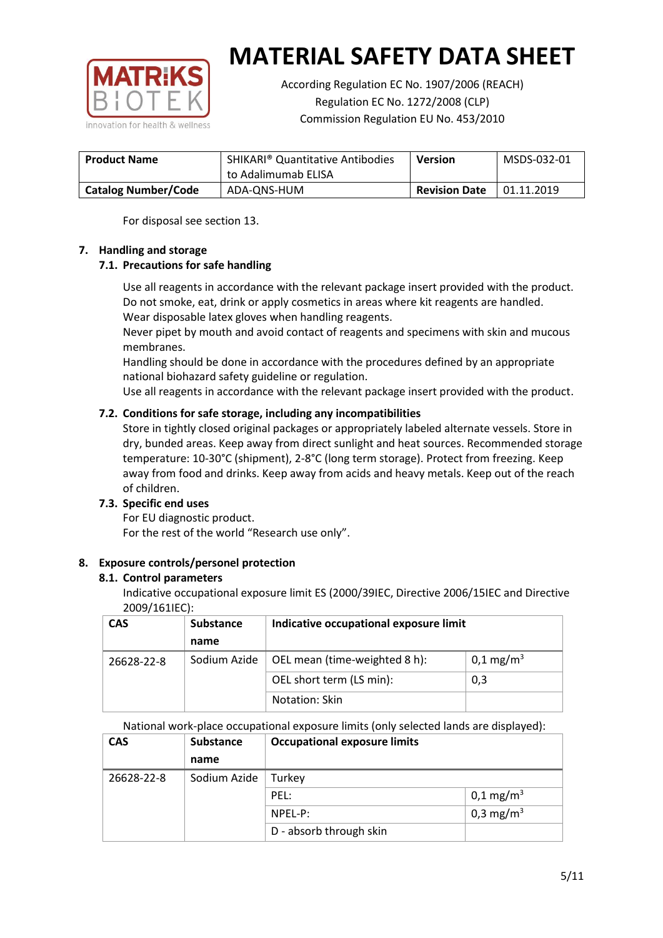

According Regulation EC No. 1907/2006 (REACH) Regulation EC No. 1272/2008 (CLP) Commission Regulation EU No. 453/2010

| <b>Product Name</b>        | <b>SHIKARI</b> <sup>®</sup> Quantitative Antibodies<br>to Adalimumab ELISA | <b>Version</b>       | MSDS-032-01 |
|----------------------------|----------------------------------------------------------------------------|----------------------|-------------|
| <b>Catalog Number/Code</b> | ADA-ONS-HUM                                                                | <b>Revision Date</b> | 01.11.2019  |

For disposal see section 13.

## **7. Handling and storage**

## **7.1. Precautions for safe handling**

Use all reagents in accordance with the relevant package insert provided with the product. Do not smoke, eat, drink or apply cosmetics in areas where kit reagents are handled. Wear disposable latex gloves when handling reagents.

Never pipet by mouth and avoid contact of reagents and specimens with skin and mucous membranes.

Handling should be done in accordance with the procedures defined by an appropriate national biohazard safety guideline or regulation.

Use all reagents in accordance with the relevant package insert provided with the product.

## **7.2. Conditions for safe storage, including any incompatibilities**

Store in tightly closed original packages or appropriately labeled alternate vessels. Store in dry, bunded areas. Keep away from direct sunlight and heat sources. Recommended storage temperature: 10-30°C (shipment), 2-8°C (long term storage). Protect from freezing. Keep away from food and drinks. Keep away from acids and heavy metals. Keep out of the reach of children.

## **7.3. Specific end uses**

For EU diagnostic product. For the rest of the world "Research use only".

## **8. Exposure controls/personel protection**

#### **8.1. Control parameters**

Indicative occupational exposure limit ES (2000/39IEC, Directive 2006/15IEC and Directive 2009/161IEC):

| <b>CAS</b> | <b>Substance</b> | Indicative occupational exposure limit |                       |
|------------|------------------|----------------------------------------|-----------------------|
|            | name             |                                        |                       |
| 26628-22-8 | Sodium Azide     | OEL mean (time-weighted 8 h):          | 0,1 mg/m <sup>3</sup> |
|            |                  | OEL short term (LS min):               | 0,3                   |
|            |                  | Notation: Skin                         |                       |

National work-place occupational exposure limits (only selected lands are displayed):

| <b>CAS</b> | <b>Substance</b> | <b>Occupational exposure limits</b> |                         |
|------------|------------------|-------------------------------------|-------------------------|
|            | name             |                                     |                         |
| 26628-22-8 | Sodium Azide     | Turkey                              |                         |
|            |                  | PEL:                                | $0,1 \,\mathrm{mg/m^3}$ |
|            |                  | $NPEL-P$ :                          | 0,3 mg/m <sup>3</sup>   |
|            |                  | D - absorb through skin             |                         |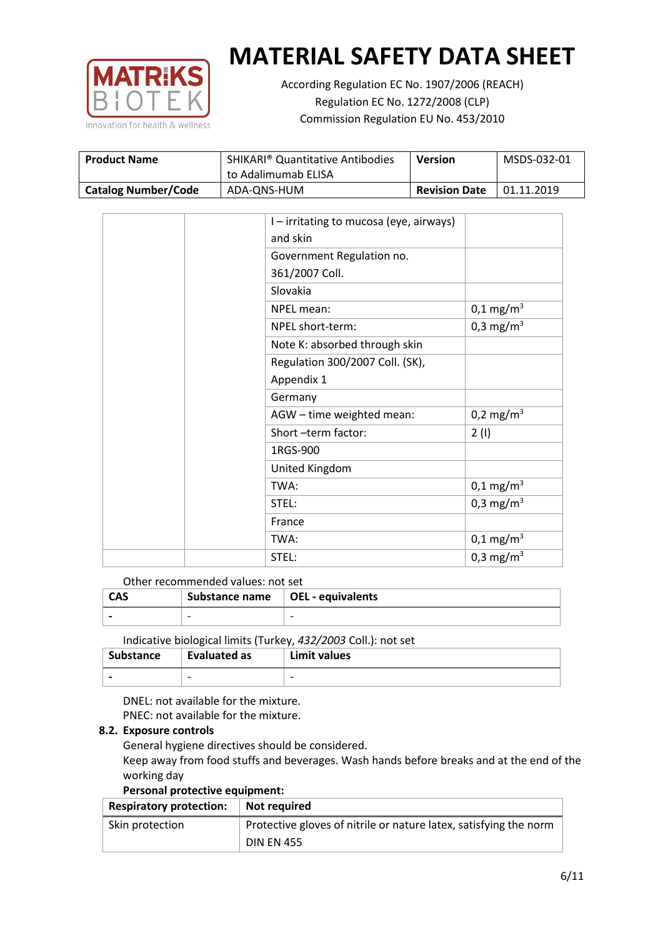

According Regulation EC No. 1907/2006 (REACH) Regulation EC No. 1272/2008 (CLP) Commission Regulation EU No. 453/2010

| <b>Product Name</b>        | <b>SHIKARI<sup>®</sup> Quantitative Antibodies</b><br>to Adalimumab ELISA | <b>Version</b>       | MSDS-032-01 |
|----------------------------|---------------------------------------------------------------------------|----------------------|-------------|
| <b>Catalog Number/Code</b> | ADA-ONS-HUM                                                               | <b>Revision Date</b> | 01.11.2019  |

|  | I – irritating to mucosa (eye, airways) |                         |
|--|-----------------------------------------|-------------------------|
|  | and skin                                |                         |
|  | Government Regulation no.               |                         |
|  | 361/2007 Coll.                          |                         |
|  | Slovakia                                |                         |
|  | NPEL mean:                              | $0,1 \text{ mg/m}^3$    |
|  | NPEL short-term:                        | 0,3 mg/m <sup>3</sup>   |
|  | Note K: absorbed through skin           |                         |
|  | Regulation 300/2007 Coll. (SK),         |                         |
|  | Appendix 1                              |                         |
|  | Germany                                 |                         |
|  | AGW - time weighted mean:               | 0,2 mg/m <sup>3</sup>   |
|  | Short-term factor:                      | 2(1)                    |
|  | 1RGS-900                                |                         |
|  | United Kingdom                          |                         |
|  | TWA:                                    | $0,1 \,\mathrm{mg/m^3}$ |
|  | STEL:                                   | 0,3 mg/m <sup>3</sup>   |
|  | France                                  |                         |
|  | TWA:                                    | $0,1 \text{ mg/m}^3$    |
|  | STEL:                                   | 0,3 mg/m <sup>3</sup>   |

## Other recommended values: not set

| <b>CAS</b> | Substance name $\vert$ OEL - equivalents |   |
|------------|------------------------------------------|---|
|            | $\overline{\phantom{0}}$                 | - |
|            |                                          |   |

Indicative biological limits (Turkey, *432/2003* Coll.): not set

| Substance                | Evaluated as             | Limit values             |
|--------------------------|--------------------------|--------------------------|
| $\overline{\phantom{0}}$ | $\overline{\phantom{0}}$ | $\overline{\phantom{0}}$ |

DNEL: not available for the mixture. PNEC: not available for the mixture.

#### **8.2. Exposure controls**

General hygiene directives should be considered.

Keep away from food stuffs and beverages. Wash hands before breaks and at the end of the working day

#### **Personal protective equipment:**

| <b>Respiratory protection:</b> | Not required                                                      |
|--------------------------------|-------------------------------------------------------------------|
| Skin protection                | Protective gloves of nitrile or nature latex, satisfying the norm |
|                                | <b>DIN EN 455</b>                                                 |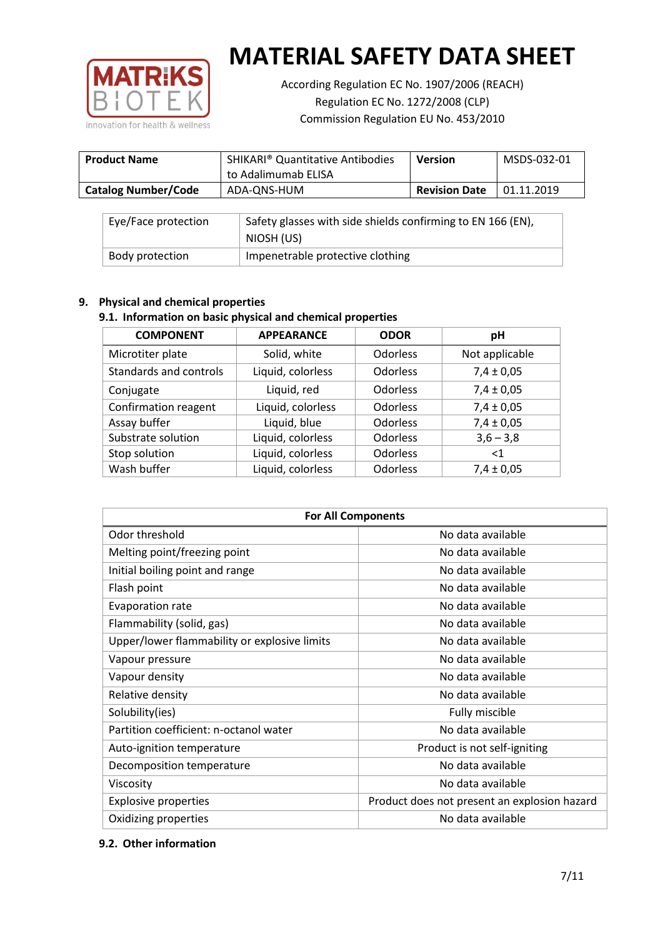

According Regulation EC No. 1907/2006 (REACH) Regulation EC No. 1272/2008 (CLP) Commission Regulation EU No. 453/2010

| <b>Product Name</b>        | <b>SHIKARI<sup>®</sup> Quantitative Antibodies</b><br>to Adalimumab ELISA | <b>Version</b>       | MSDS-032-01 |
|----------------------------|---------------------------------------------------------------------------|----------------------|-------------|
| <b>Catalog Number/Code</b> | ADA-QNS-HUM                                                               | <b>Revision Date</b> | 01.11.2019  |

| Eye/Face protection | Safety glasses with side shields confirming to EN 166 (EN),<br>NIOSH (US) |
|---------------------|---------------------------------------------------------------------------|
| Body protection     | Impenetrable protective clothing                                          |

## **9. Physical and chemical properties**

## **9.1. Information on basic physical and chemical properties**

| <b>COMPONENT</b>       | <b>APPEARANCE</b> | <b>ODOR</b>     | рH             |
|------------------------|-------------------|-----------------|----------------|
| Microtiter plate       | Solid, white      | <b>Odorless</b> | Not applicable |
| Standards and controls | Liquid, colorless | <b>Odorless</b> | $7,4 \pm 0,05$ |
| Conjugate              | Liquid, red       | <b>Odorless</b> | $7,4 \pm 0,05$ |
| Confirmation reagent   | Liquid, colorless | <b>Odorless</b> | $7,4 \pm 0,05$ |
| Assay buffer           | Liquid, blue      | Odorless        | $7,4 \pm 0,05$ |
| Substrate solution     | Liquid, colorless | <b>Odorless</b> | $3,6 - 3,8$    |
| Stop solution          | Liquid, colorless | Odorless        | $<$ 1          |
| Wash buffer            | Liquid, colorless | Odorless        | $7,4 \pm 0,05$ |

| <b>For All Components</b>                    |                                              |  |  |
|----------------------------------------------|----------------------------------------------|--|--|
| Odor threshold                               | No data available                            |  |  |
| Melting point/freezing point                 | No data available                            |  |  |
| Initial boiling point and range              | No data available                            |  |  |
| Flash point                                  | No data available                            |  |  |
| <b>Evaporation rate</b>                      | No data available                            |  |  |
| Flammability (solid, gas)                    | No data available                            |  |  |
| Upper/lower flammability or explosive limits | No data available                            |  |  |
| Vapour pressure                              | No data available                            |  |  |
| Vapour density                               | No data available                            |  |  |
| Relative density                             | No data available                            |  |  |
| Solubility(ies)                              | Fully miscible                               |  |  |
| Partition coefficient: n-octanol water       | No data available                            |  |  |
| Auto-ignition temperature                    | Product is not self-igniting                 |  |  |
| Decomposition temperature                    | No data available                            |  |  |
| Viscosity                                    | No data available                            |  |  |
| <b>Explosive properties</b>                  | Product does not present an explosion hazard |  |  |
| Oxidizing properties                         | No data available                            |  |  |

## **9.2. Other information**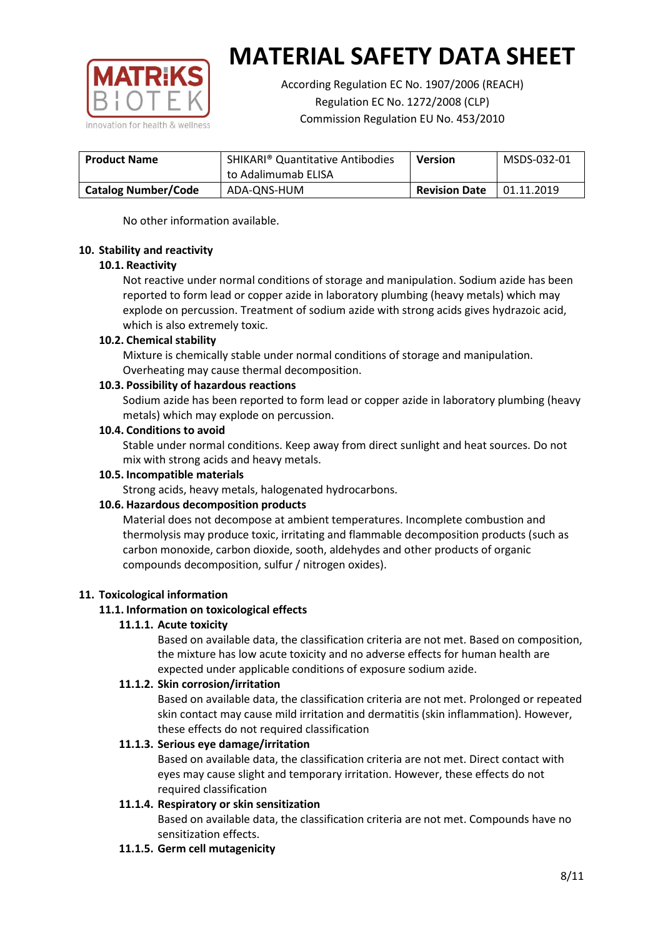

According Regulation EC No. 1907/2006 (REACH) Regulation EC No. 1272/2008 (CLP) Commission Regulation EU No. 453/2010

| <b>Product Name</b>        | <b>SHIKARI® Quantitative Antibodies</b><br>to Adalimumab ELISA | <b>Version</b>       | MSDS-032-01 |
|----------------------------|----------------------------------------------------------------|----------------------|-------------|
| <b>Catalog Number/Code</b> | ADA-QNS-HUM                                                    | <b>Revision Date</b> | 01.11.2019  |

No other information available.

## **10. Stability and reactivity**

## **10.1. Reactivity**

Not reactive under normal conditions of storage and manipulation. Sodium azide has been reported to form lead or copper azide in laboratory plumbing (heavy metals) which may explode on percussion. Treatment of sodium azide with strong acids gives hydrazoic acid, which is also extremely toxic.

## **10.2. Chemical stability**

Mixture is chemically stable under normal conditions of storage and manipulation. Overheating may cause thermal decomposition.

## **10.3. Possibility of hazardous reactions**

Sodium azide has been reported to form lead or copper azide in laboratory plumbing (heavy metals) which may explode on percussion.

## **10.4. Conditions to avoid**

Stable under normal conditions. Keep away from direct sunlight and heat sources. Do not mix with strong acids and heavy metals.

#### **10.5. Incompatible materials**

Strong acids, heavy metals, halogenated hydrocarbons.

## **10.6. Hazardous decomposition products**

Material does not decompose at ambient temperatures. Incomplete combustion and thermolysis may produce toxic, irritating and flammable decomposition products (such as carbon monoxide, carbon dioxide, sooth, aldehydes and other products of organic compounds decomposition, sulfur / nitrogen oxides).

## **11. Toxicological information**

## **11.1. Information on toxicological effects**

#### **11.1.1. Acute toxicity**

Based on available data, the classification criteria are not met. Based on composition, the mixture has low acute toxicity and no adverse effects for human health are expected under applicable conditions of exposure sodium azide.

#### **11.1.2. Skin corrosion/irritation**

Based on available data, the classification criteria are not met. Prolonged or repeated skin contact may cause mild irritation and dermatitis (skin inflammation). However, these effects do not required classification

## **11.1.3. Serious eye damage/irritation**

Based on available data, the classification criteria are not met. Direct contact with eyes may cause slight and temporary irritation. However, these effects do not required classification

## **11.1.4. Respiratory or skin sensitization**

Based on available data, the classification criteria are not met. Compounds have no sensitization effects.

#### **11.1.5. Germ cell mutagenicity**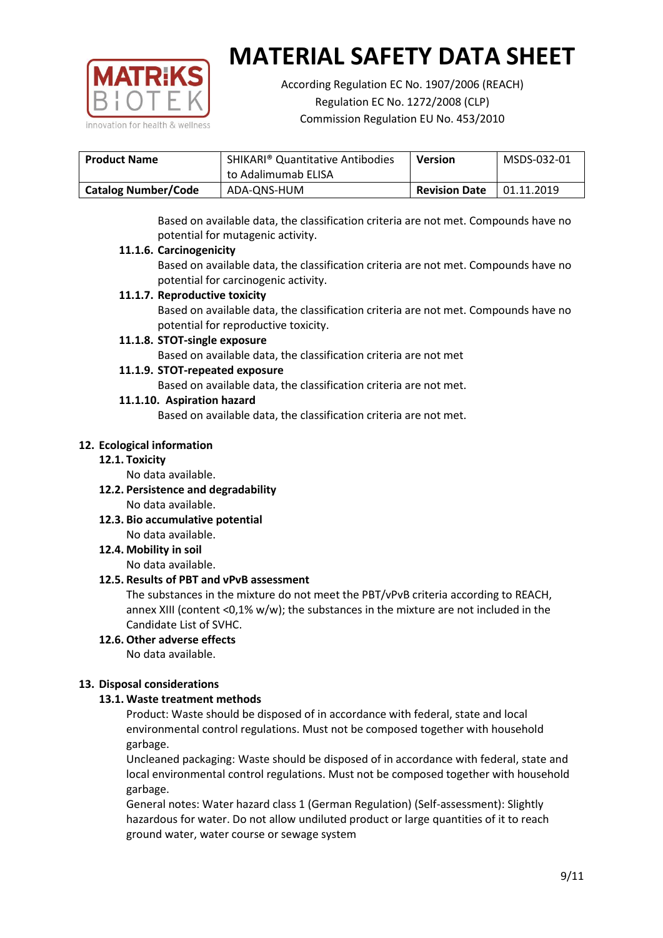

According Regulation EC No. 1907/2006 (REACH) Regulation EC No. 1272/2008 (CLP) Commission Regulation EU No. 453/2010

| <b>Product Name</b>        | <b>SHIKARI</b> <sup>®</sup> Quantitative Antibodies | <b>Version</b>       | MSDS-032-01 |
|----------------------------|-----------------------------------------------------|----------------------|-------------|
|                            | to Adalimumab ELISA                                 |                      |             |
| <b>Catalog Number/Code</b> | ADA-ONS-HUM                                         | <b>Revision Date</b> | 01.11.2019  |

Based on available data, the classification criteria are not met. Compounds have no potential for mutagenic activity.

## **11.1.6. Carcinogenicity**

Based on available data, the classification criteria are not met. Compounds have no potential for carcinogenic activity.

## **11.1.7. Reproductive toxicity**

Based on available data, the classification criteria are not met. Compounds have no potential for reproductive toxicity.

## **11.1.8. STOT-single exposure**

Based on available data, the classification criteria are not met

## **11.1.9. STOT-repeated exposure**

Based on available data, the classification criteria are not met.

## **11.1.10. Aspiration hazard**

Based on available data, the classification criteria are not met.

## **12. Ecological information**

#### **12.1. Toxicity**

No data available.

- **12.2. Persistence and degradability** No data available.
- **12.3. Bio accumulative potential** No data available.

**12.4. Mobility in soil**

No data available.

## **12.5. Results of PBT and vPvB assessment**

The substances in the mixture do not meet the PBT/vPvB criteria according to REACH, annex XIII (content <0,1% w/w); the substances in the mixture are not included in the Candidate List of SVHC.

#### **12.6. Other adverse effects** No data available.

## **13. Disposal considerations**

## **13.1. Waste treatment methods**

Product: Waste should be disposed of in accordance with federal, state and local environmental control regulations. Must not be composed together with household garbage.

Uncleaned packaging: Waste should be disposed of in accordance with federal, state and local environmental control regulations. Must not be composed together with household garbage.

General notes: Water hazard class 1 (German Regulation) (Self-assessment): Slightly hazardous for water. Do not allow undiluted product or large quantities of it to reach ground water, water course or sewage system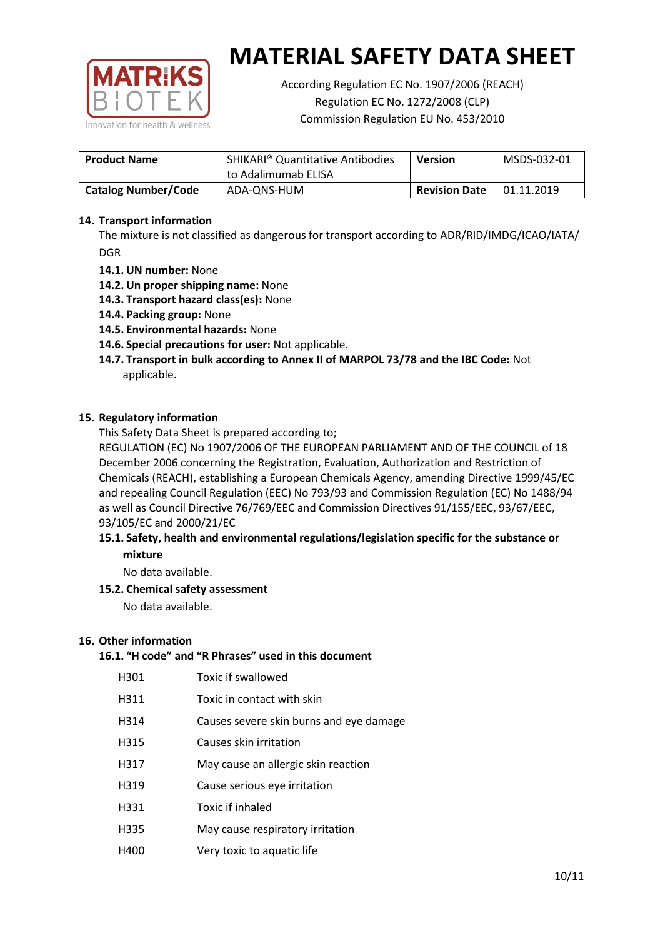

According Regulation EC No. 1907/2006 (REACH) Regulation EC No. 1272/2008 (CLP) Commission Regulation EU No. 453/2010

| <b>Product Name</b>        | <b>SHIKARI® Quantitative Antibodies</b><br>to Adalimumab ELISA | <b>Version</b> | MSDS-032-01 |
|----------------------------|----------------------------------------------------------------|----------------|-------------|
| <b>Catalog Number/Code</b> | <b>Revision Date</b><br>ADA-QNS-HUM                            |                | 01.11.2019  |

## **14. Transport information**

The mixture is not classified as dangerous for transport according to ADR/RID/IMDG/ICAO/IATA/ DGR

- **14.1. UN number:** None
- **14.2. Un proper shipping name:** None
- **14.3. Transport hazard class(es):** None
- **14.4. Packing group:** None
- **14.5. Environmental hazards:** None
- **14.6. Special precautions for user:** Not applicable.
- **14.7. Transport in bulk according to Annex II of MARPOL 73/78 and the IBC Code:** Not applicable.

#### **15. Regulatory information**

This Safety Data Sheet is prepared according to;

REGULATION (EC) No 1907/2006 OF THE EUROPEAN PARLIAMENT AND OF THE COUNCIL of 18 December 2006 concerning the Registration, Evaluation, Authorization and Restriction of Chemicals (REACH), establishing a European Chemicals Agency, amending Directive 1999/45/EC and repealing Council Regulation (EEC) No 793/93 and Commission Regulation (EC) No 1488/94 as well as Council Directive 76/769/EEC and Commission Directives 91/155/EEC, 93/67/EEC, 93/105/EC and 2000/21/EC

## **15.1. Safety, health and environmental regulations/legislation specific for the substance or mixture**

No data available.

## **15.2. Chemical safety assessment**

No data available.

#### **16. Other information**

## **16.1. "H code" and "R Phrases" used in this document**

| H301 | Toxic if swallowed |
|------|--------------------|
|------|--------------------|

- H311 Toxic in contact with skin
- H314 Causes severe skin burns and eye damage
- H315 Causes skin irritation
- H317 May cause an allergic skin reaction
- H319 Cause serious eye irritation
- H331 Toxic if inhaled
- H335 May cause respiratory irritation
- H400 Very toxic to aquatic life